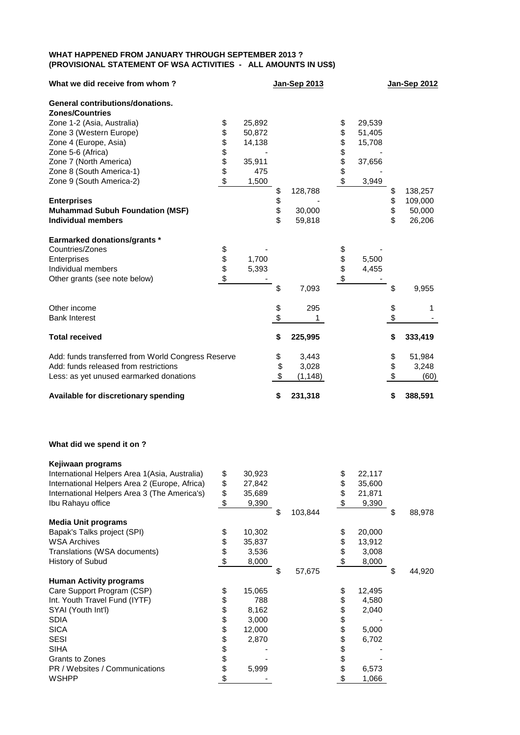## **WHAT HAPPENED FROM JANUARY THROUGH SEPTEMBER 2013 ? (PROVISIONAL STATEMENT OF WSA ACTIVITIES - ALL AMOUNTS IN US\$)**

| What we did receive from whom?                                    |          |                  | Jan-Sep 2013   |          |                  | Jan-Sep 2012  |
|-------------------------------------------------------------------|----------|------------------|----------------|----------|------------------|---------------|
| <b>General contributions/donations.</b><br><b>Zones/Countries</b> |          |                  |                |          |                  |               |
|                                                                   |          |                  |                |          |                  |               |
| Zone 1-2 (Asia, Australia)<br>Zone 3 (Western Europe)             | \$<br>\$ | 25,892<br>50,872 |                | \$<br>\$ | 29,539<br>51,405 |               |
| Zone 4 (Europe, Asia)                                             | \$       | 14,138           |                | \$       | 15,708           |               |
| Zone 5-6 (Africa)                                                 |          |                  |                |          |                  |               |
| Zone 7 (North America)                                            | \$\$     | 35,911           |                | \$\$     | 37,656           |               |
| Zone 8 (South America-1)                                          |          | 475              |                |          |                  |               |
| Zone 9 (South America-2)                                          | \$       | 1,500            |                | \$       | 3,949            |               |
|                                                                   |          |                  | \$<br>128,788  |          |                  | \$<br>138,257 |
| <b>Enterprises</b>                                                |          |                  | \$             |          |                  | \$<br>109,000 |
| <b>Muhammad Subuh Foundation (MSF)</b>                            |          |                  | \$<br>30,000   |          |                  | \$<br>50,000  |
| <b>Individual members</b>                                         |          |                  | \$<br>59,818   |          |                  | \$<br>26,206  |
|                                                                   |          |                  |                |          |                  |               |
| <b>Earmarked donations/grants *</b>                               |          |                  |                |          |                  |               |
| Countries/Zones                                                   | \$       |                  |                |          |                  |               |
| Enterprises                                                       |          | 1,700            |                | \$<br>\$ | 5,500            |               |
| Individual members                                                | \$<br>\$ | 5,393            |                |          | 4,455            |               |
| Other grants (see note below)                                     | \$       |                  |                | \$       |                  |               |
|                                                                   |          |                  | \$<br>7,093    |          |                  | \$<br>9,955   |
| Other income                                                      |          |                  | \$<br>295      |          |                  | \$<br>1       |
| <b>Bank Interest</b>                                              |          |                  | \$             |          |                  | \$            |
|                                                                   |          |                  |                |          |                  |               |
| <b>Total received</b>                                             |          |                  | \$<br>225,995  |          |                  | \$<br>333,419 |
| Add: funds transferred from World Congress Reserve                |          |                  | \$<br>3,443    |          |                  | \$<br>51,984  |
| Add: funds released from restrictions                             |          |                  | \$<br>3,028    |          |                  | \$<br>3,248   |
| Less: as yet unused earmarked donations                           |          |                  | \$<br>(1, 148) |          |                  | \$<br>(60)    |
| Available for discretionary spending                              |          |                  | \$<br>231,318  |          |                  | \$<br>388,591 |

## **What did we spend it on ?**

| Kejiwaan programs                              |                           |        |               |              |              |
|------------------------------------------------|---------------------------|--------|---------------|--------------|--------------|
| International Helpers Area 1 (Asia, Australia) | \$                        | 30,923 |               | \$<br>22,117 |              |
| International Helpers Area 2 (Europe, Africa)  | \$                        | 27,842 |               | \$<br>35,600 |              |
| International Helpers Area 3 (The America's)   | \$                        | 35,689 |               | \$<br>21,871 |              |
| Ibu Rahayu office                              | \$                        | 9,390  |               | \$<br>9,390  |              |
|                                                |                           |        | \$<br>103,844 |              | \$<br>88,978 |
| <b>Media Unit programs</b>                     |                           |        |               |              |              |
| Bapak's Talks project (SPI)                    | \$                        | 10,302 |               | \$<br>20,000 |              |
| <b>WSA Archives</b>                            | \$                        | 35,837 |               | \$<br>13,912 |              |
| Translations (WSA documents)                   | \$                        | 3,536  |               | \$<br>3,008  |              |
| History of Subud                               | $\boldsymbol{\mathsf{S}}$ | 8,000  |               | \$<br>8,000  |              |
|                                                |                           |        | \$<br>57,675  |              | \$<br>44,920 |
| <b>Human Activity programs</b>                 |                           |        |               |              |              |
| Care Support Program (CSP)                     | \$                        | 15,065 |               | \$<br>12,495 |              |
| Int. Youth Travel Fund (IYTF)                  | \$                        | 788    |               | \$<br>4,580  |              |
| SYAI (Youth Int'l)                             | \$                        | 8,162  |               | \$<br>2,040  |              |
| <b>SDIA</b>                                    | \$                        | 3,000  |               | \$           |              |
| <b>SICA</b>                                    | \$                        | 12,000 |               | \$<br>5,000  |              |
| <b>SESI</b>                                    | \$                        | 2,870  |               | \$<br>6,702  |              |
| <b>SIHA</b>                                    | \$                        |        |               | \$           |              |
| Grants to Zones                                | \$                        |        |               | \$           |              |
| PR / Websites / Communications                 | \$                        | 5,999  |               | \$<br>6,573  |              |
| <b>WSHPP</b>                                   | \$                        |        |               | \$<br>1,066  |              |
|                                                |                           |        |               |              |              |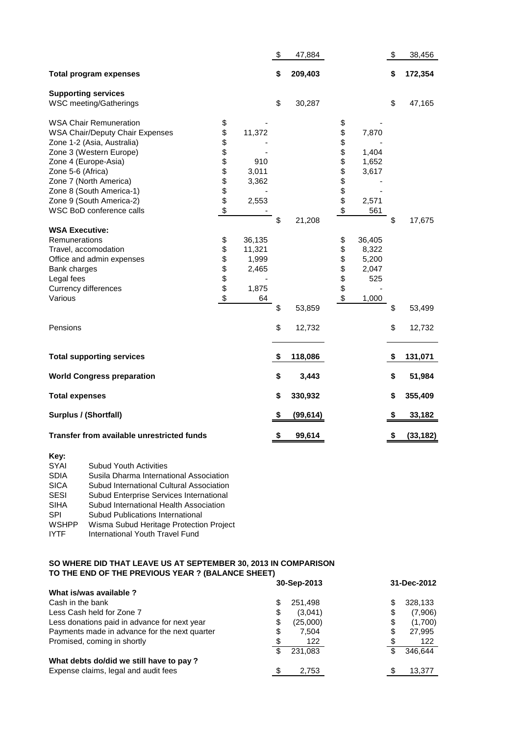|                                                                                                                                                                                                                                                                 |                              |                                                   | $\boldsymbol{\mathsf{S}}$ | 47,884    |                                    |                                                   | \$<br>38,456    |
|-----------------------------------------------------------------------------------------------------------------------------------------------------------------------------------------------------------------------------------------------------------------|------------------------------|---------------------------------------------------|---------------------------|-----------|------------------------------------|---------------------------------------------------|-----------------|
| <b>Total program expenses</b>                                                                                                                                                                                                                                   |                              |                                                   | \$                        | 209,403   |                                    |                                                   | \$<br>172,354   |
| <b>Supporting services</b><br>WSC meeting/Gatherings                                                                                                                                                                                                            |                              |                                                   | \$                        | 30,287    |                                    |                                                   | \$<br>47,165    |
| <b>WSA Chair Remuneration</b><br><b>WSA Chair/Deputy Chair Expenses</b><br>Zone 1-2 (Asia, Australia)<br>Zone 3 (Western Europe)<br>Zone 4 (Europe-Asia)<br>Zone 5-6 (Africa)<br>Zone 7 (North America)<br>Zone 8 (South America-1)<br>Zone 9 (South America-2) | \$<br>\$<br><b>8888888</b>   | 11,372<br>910<br>3,011<br>3,362<br>2,553          |                           |           | \$<br>\$<br>\$<br>\$<br>\$\$\$\$\$ | 7,870<br>1,404<br>1,652<br>3,617<br>2,571         |                 |
| WSC BoD conference calls                                                                                                                                                                                                                                        | \$                           |                                                   |                           |           | \$                                 | 561                                               |                 |
|                                                                                                                                                                                                                                                                 |                              |                                                   | \$                        | 21,208    |                                    |                                                   | \$<br>17,675    |
| <b>WSA Executive:</b>                                                                                                                                                                                                                                           |                              |                                                   |                           |           |                                    |                                                   |                 |
| Remunerations<br>Travel, accomodation<br>Office and admin expenses<br>Bank charges<br>Legal fees<br>Currency differences<br>Various                                                                                                                             | \$<br>\$<br>\$<br>\$\$<br>\$ | 36,135<br>11,321<br>1,999<br>2,465<br>1,875<br>64 |                           |           | \$<br>\$<br>\$\$<br>\$             | 36,405<br>8,322<br>5,200<br>2,047<br>525<br>1,000 |                 |
|                                                                                                                                                                                                                                                                 |                              |                                                   | \$                        | 53,859    |                                    |                                                   | \$<br>53,499    |
| Pensions                                                                                                                                                                                                                                                        |                              |                                                   | \$                        | 12,732    |                                    |                                                   | \$<br>12,732    |
| <b>Total supporting services</b>                                                                                                                                                                                                                                |                              |                                                   | \$                        | 118,086   |                                    |                                                   | \$<br>131,071   |
| <b>World Congress preparation</b>                                                                                                                                                                                                                               |                              |                                                   | \$                        | 3,443     |                                    |                                                   | \$<br>51,984    |
| <b>Total expenses</b>                                                                                                                                                                                                                                           |                              |                                                   | \$                        | 330,932   |                                    |                                                   | \$<br>355,409   |
| Surplus / (Shortfall)                                                                                                                                                                                                                                           |                              |                                                   | \$                        | (99, 614) |                                    |                                                   | \$<br>33,182    |
| Transfer from available unrestricted funds                                                                                                                                                                                                                      |                              |                                                   | \$                        | 99,614    |                                    |                                                   | \$<br>(33, 182) |

| Key:         |                                          |
|--------------|------------------------------------------|
| SYAI         | <b>Subud Youth Activities</b>            |
| <b>SDIA</b>  | Susila Dharma International Association  |
| <b>SICA</b>  | Subud International Cultural Association |
| <b>SESI</b>  | Subud Enterprise Services International  |
| <b>SIHA</b>  | Subud International Health Association   |
| <b>SPI</b>   | <b>Subud Publications International</b>  |
| <b>WSHPP</b> | Wisma Subud Heritage Protection Project  |
| <b>IYTF</b>  | International Youth Travel Fund          |
|              |                                          |

## **SO WHERE DID THAT LEAVE US AT SEPTEMBER 30, 2013 IN COMPARISON TO THE END OF THE PREVIOUS YEAR ? (BALANCE SHEET)**

|                                               | 30-Sep-2013    | 31-Dec-2012   |  |  |
|-----------------------------------------------|----------------|---------------|--|--|
| What is/was available?                        |                |               |  |  |
| Cash in the bank                              | S<br>251.498   | 328,133       |  |  |
| Less Cash held for Zone 7                     | \$<br>(3,041)  | (7,906)<br>\$ |  |  |
| Less donations paid in advance for next year  | \$<br>(25,000) | (1,700)<br>\$ |  |  |
| Payments made in advance for the next quarter | \$<br>7.504    | 27,995<br>\$  |  |  |
| Promised, coming in shortly                   | 122            | 122           |  |  |
|                                               | \$<br>231.083  | 346.644       |  |  |
| What debts do/did we still have to pay?       |                |               |  |  |
| Expense claims, legal and audit fees          | S<br>2,753     | 13,377        |  |  |